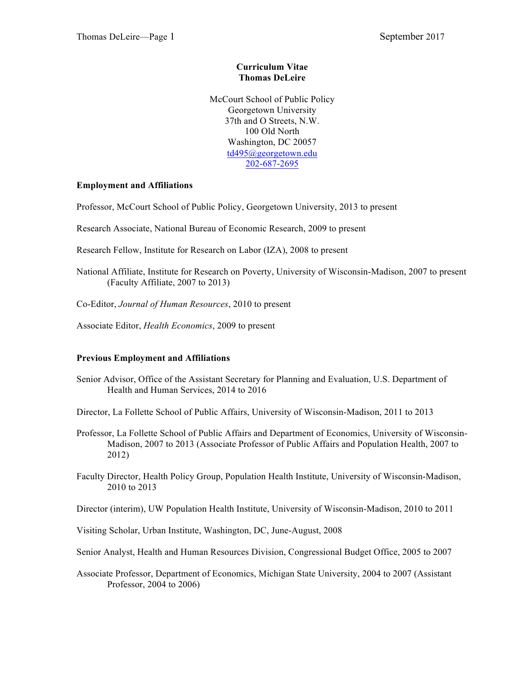## **Curriculum Vitae Thomas DeLeire**

McCourt School of Public Policy Georgetown University 37th and O Streets, N.W. 100 Old North Washington, DC 20057 td495@georgetown.edu 202-687-2695

# **Employment and Affiliations**

Professor, McCourt School of Public Policy, Georgetown University, 2013 to present

Research Associate, National Bureau of Economic Research, 2009 to present

Research Fellow, Institute for Research on Labor (IZA), 2008 to present

National Affiliate, Institute for Research on Poverty, University of Wisconsin-Madison, 2007 to present (Faculty Affiliate, 2007 to 2013)

- Co-Editor, *Journal of Human Resources*, 2010 to present
- Associate Editor, *Health Economics*, 2009 to present

## **Previous Employment and Affiliations**

Senior Advisor, Office of the Assistant Secretary for Planning and Evaluation, U.S. Department of Health and Human Services, 2014 to 2016

Director, La Follette School of Public Affairs, University of Wisconsin-Madison, 2011 to 2013

- Professor, La Follette School of Public Affairs and Department of Economics, University of Wisconsin-Madison, 2007 to 2013 (Associate Professor of Public Affairs and Population Health, 2007 to 2012)
- Faculty Director, Health Policy Group, Population Health Institute, University of Wisconsin-Madison, 2010 to 2013

Director (interim), UW Population Health Institute, University of Wisconsin-Madison, 2010 to 2011

Visiting Scholar, Urban Institute, Washington, DC, June-August, 2008

Senior Analyst, Health and Human Resources Division, Congressional Budget Office, 2005 to 2007

Associate Professor, Department of Economics, Michigan State University, 2004 to 2007 (Assistant Professor, 2004 to 2006)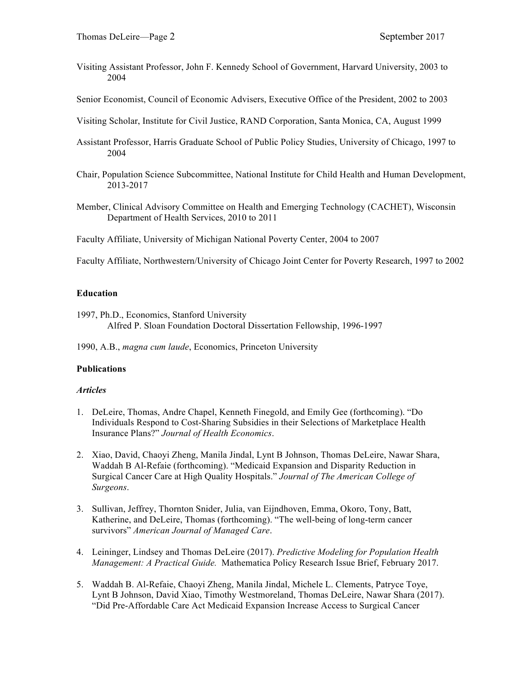- Visiting Assistant Professor, John F. Kennedy School of Government, Harvard University, 2003 to 2004
- Senior Economist, Council of Economic Advisers, Executive Office of the President, 2002 to 2003
- Visiting Scholar, Institute for Civil Justice, RAND Corporation, Santa Monica, CA, August 1999
- Assistant Professor, Harris Graduate School of Public Policy Studies, University of Chicago, 1997 to 2004
- Chair, Population Science Subcommittee, National Institute for Child Health and Human Development, 2013-2017
- Member, Clinical Advisory Committee on Health and Emerging Technology (CACHET), Wisconsin Department of Health Services, 2010 to 2011
- Faculty Affiliate, University of Michigan National Poverty Center, 2004 to 2007

Faculty Affiliate, Northwestern/University of Chicago Joint Center for Poverty Research, 1997 to 2002

#### **Education**

1997, Ph.D., Economics, Stanford University Alfred P. Sloan Foundation Doctoral Dissertation Fellowship, 1996-1997

1990, A.B., *magna cum laude*, Economics, Princeton University

#### **Publications**

#### *Articles*

- 1. DeLeire, Thomas, Andre Chapel, Kenneth Finegold, and Emily Gee (forthcoming). "Do Individuals Respond to Cost-Sharing Subsidies in their Selections of Marketplace Health Insurance Plans?" *Journal of Health Economics*.
- 2. Xiao, David, Chaoyi Zheng, Manila Jindal, Lynt B Johnson, Thomas DeLeire, Nawar Shara, Waddah B Al-Refaie (forthcoming). "Medicaid Expansion and Disparity Reduction in Surgical Cancer Care at High Quality Hospitals." *Journal of The American College of Surgeons*.
- 3. Sullivan, Jeffrey, Thornton Snider, Julia, van Eijndhoven, Emma, Okoro, Tony, Batt, Katherine, and DeLeire, Thomas (forthcoming). "The well-being of long-term cancer survivors" *American Journal of Managed Care*.
- 4. Leininger, Lindsey and Thomas DeLeire (2017). *Predictive Modeling for Population Health Management: A Practical Guide.* Mathematica Policy Research Issue Brief, February 2017.
- 5. Waddah B. Al-Refaie, Chaoyi Zheng, Manila Jindal, Michele L. Clements, Patryce Toye, Lynt B Johnson, David Xiao, Timothy Westmoreland, Thomas DeLeire, Nawar Shara (2017). "Did Pre-Affordable Care Act Medicaid Expansion Increase Access to Surgical Cancer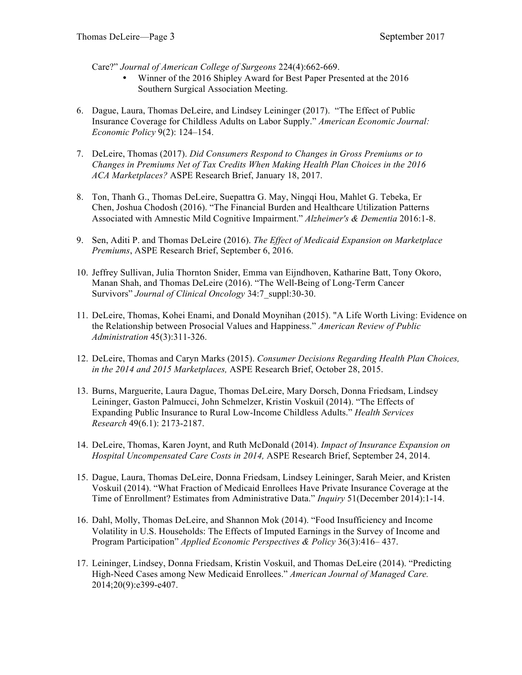Care?" *Journal of American College of Surgeons* 224(4):662-669.

- Winner of the 2016 Shipley Award for Best Paper Presented at the 2016 Southern Surgical Association Meeting.
- 6. Dague, Laura, Thomas DeLeire, and Lindsey Leininger (2017). "The Effect of Public Insurance Coverage for Childless Adults on Labor Supply." *American Economic Journal: Economic Policy* 9(2): 124–154.
- 7. DeLeire, Thomas (2017). *Did Consumers Respond to Changes in Gross Premiums or to Changes in Premiums Net of Tax Credits When Making Health Plan Choices in the 2016 ACA Marketplaces?* ASPE Research Brief, January 18, 2017.
- 8. Ton, Thanh G., Thomas DeLeire, Suepattra G. May, Ningqi Hou, Mahlet G. Tebeka, Er Chen, Joshua Chodosh (2016). "The Financial Burden and Healthcare Utilization Patterns Associated with Amnestic Mild Cognitive Impairment." *Alzheimer's & Dementia* 2016:1-8.
- 9. Sen, Aditi P. and Thomas DeLeire (2016). *The Effect of Medicaid Expansion on Marketplace Premiums*, ASPE Research Brief, September 6, 2016.
- 10. Jeffrey Sullivan, Julia Thornton Snider, Emma van Eijndhoven, Katharine Batt, Tony Okoro, Manan Shah, and Thomas DeLeire (2016). "The Well-Being of Long-Term Cancer Survivors" *Journal of Clinical Oncology* 34:7\_suppl:30-30.
- 11. DeLeire, Thomas, Kohei Enami, and Donald Moynihan (2015). "A Life Worth Living: Evidence on the Relationship between Prosocial Values and Happiness." *American Review of Public Administration* 45(3):311-326.
- 12. DeLeire, Thomas and Caryn Marks (2015). *Consumer Decisions Regarding Health Plan Choices, in the 2014 and 2015 Marketplaces,* ASPE Research Brief, October 28, 2015.
- 13. Burns, Marguerite, Laura Dague, Thomas DeLeire, Mary Dorsch, Donna Friedsam, Lindsey Leininger, Gaston Palmucci, John Schmelzer, Kristin Voskuil (2014). "The Effects of Expanding Public Insurance to Rural Low-Income Childless Adults." *Health Services Research* 49(6.1): 2173-2187.
- 14. DeLeire, Thomas, Karen Joynt, and Ruth McDonald (2014). *Impact of Insurance Expansion on Hospital Uncompensated Care Costs in 2014,* ASPE Research Brief, September 24, 2014.
- 15. Dague, Laura, Thomas DeLeire, Donna Friedsam, Lindsey Leininger, Sarah Meier, and Kristen Voskuil (2014). "What Fraction of Medicaid Enrollees Have Private Insurance Coverage at the Time of Enrollment? Estimates from Administrative Data." *Inquiry* 51(December 2014):1-14.
- 16. Dahl, Molly, Thomas DeLeire, and Shannon Mok (2014). "Food Insufficiency and Income Volatility in U.S. Households: The Effects of Imputed Earnings in the Survey of Income and Program Participation" *Applied Economic Perspectives & Policy* 36(3):416– 437.
- 17. Leininger, Lindsey, Donna Friedsam, Kristin Voskuil, and Thomas DeLeire (2014). "Predicting High-Need Cases among New Medicaid Enrollees." *American Journal of Managed Care.*  2014;20(9):e399-e407.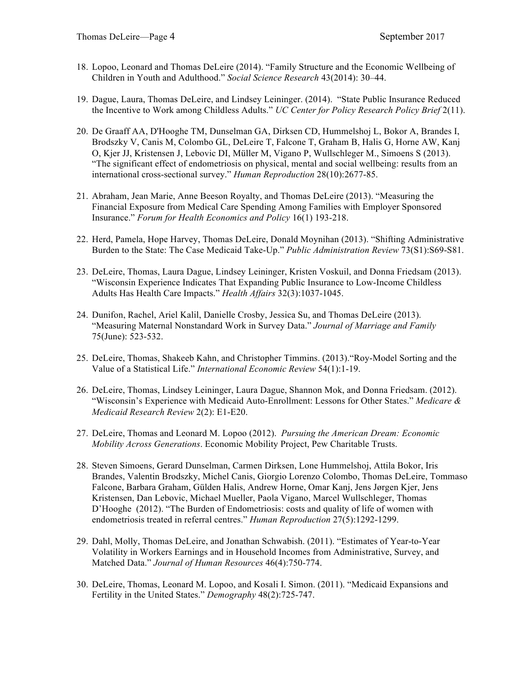- 18. Lopoo, Leonard and Thomas DeLeire (2014). "Family Structure and the Economic Wellbeing of Children in Youth and Adulthood." *Social Science Research* 43(2014): 30–44.
- 19. Dague, Laura, Thomas DeLeire, and Lindsey Leininger. (2014). "State Public Insurance Reduced the Incentive to Work among Childless Adults." *UC Center for Policy Research Policy Brief* 2(11).
- 20. De Graaff AA, D'Hooghe TM, Dunselman GA, Dirksen CD, Hummelshoj L, Bokor A, Brandes I, Brodszky V, Canis M, Colombo GL, DeLeire T, Falcone T, Graham B, Halis G, Horne AW, Kanj O, Kjer JJ, Kristensen J, Lebovic DI, Müller M, Vigano P, Wullschleger M., Simoens S (2013). "The significant effect of endometriosis on physical, mental and social wellbeing: results from an international cross-sectional survey." *Human Reproduction* 28(10):2677-85.
- 21. Abraham, Jean Marie, Anne Beeson Royalty, and Thomas DeLeire (2013). "Measuring the Financial Exposure from Medical Care Spending Among Families with Employer Sponsored Insurance." *Forum for Health Economics and Policy* 16(1) 193-218.
- 22. Herd, Pamela, Hope Harvey, Thomas DeLeire, Donald Moynihan (2013). "Shifting Administrative Burden to the State: The Case Medicaid Take-Up." *Public Administration Review* 73(S1):S69-S81.
- 23. DeLeire, Thomas, Laura Dague, Lindsey Leininger, Kristen Voskuil, and Donna Friedsam (2013). "Wisconsin Experience Indicates That Expanding Public Insurance to Low-Income Childless Adults Has Health Care Impacts." *Health Affairs* 32(3):1037-1045.
- 24. Dunifon, Rachel, Ariel Kalil, Danielle Crosby, Jessica Su, and Thomas DeLeire (2013). "Measuring Maternal Nonstandard Work in Survey Data." *Journal of Marriage and Family* 75(June): 523-532.
- 25. DeLeire, Thomas, Shakeeb Kahn, and Christopher Timmins. (2013)."Roy-Model Sorting and the Value of a Statistical Life." *International Economic Review* 54(1):1-19.
- 26. DeLeire, Thomas, Lindsey Leininger, Laura Dague, Shannon Mok, and Donna Friedsam. (2012). "Wisconsin's Experience with Medicaid Auto-Enrollment: Lessons for Other States." *Medicare & Medicaid Research Review* 2(2): E1-E20.
- 27. DeLeire, Thomas and Leonard M. Lopoo (2012). *Pursuing the American Dream: Economic Mobility Across Generations*. Economic Mobility Project, Pew Charitable Trusts.
- 28. Steven Simoens, Gerard Dunselman, Carmen Dirksen, Lone Hummelshoj, Attila Bokor, Iris Brandes, Valentin Brodszky, Michel Canis, Giorgio Lorenzo Colombo, Thomas DeLeire, Tommaso Falcone, Barbara Graham, Gülden Halis, Andrew Horne, Omar Kanj, Jens Jørgen Kjer, Jens Kristensen, Dan Lebovic, Michael Mueller, Paola Vigano, Marcel Wullschleger, Thomas D'Hooghe (2012). "The Burden of Endometriosis: costs and quality of life of women with endometriosis treated in referral centres." *Human Reproduction* 27(5):1292-1299.
- 29. Dahl, Molly, Thomas DeLeire, and Jonathan Schwabish. (2011). "Estimates of Year-to-Year Volatility in Workers Earnings and in Household Incomes from Administrative, Survey, and Matched Data." *Journal of Human Resources* 46(4):750-774.
- 30. DeLeire, Thomas, Leonard M. Lopoo, and Kosali I. Simon. (2011). "Medicaid Expansions and Fertility in the United States." *Demography* 48(2):725-747.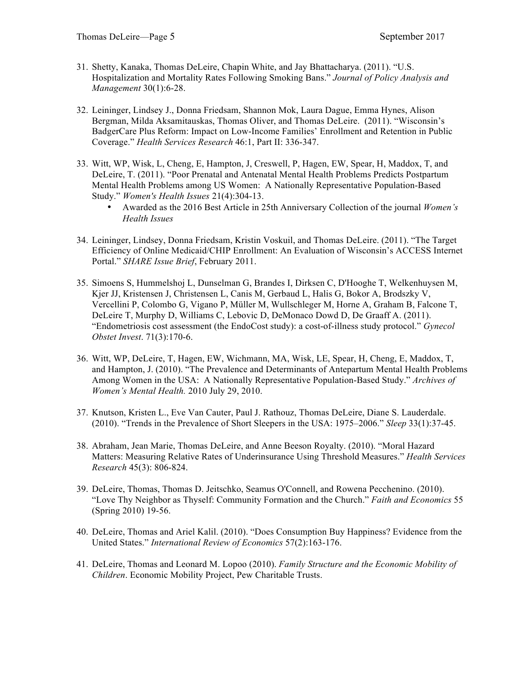- 31. Shetty, Kanaka, Thomas DeLeire, Chapin White, and Jay Bhattacharya. (2011). "U.S. Hospitalization and Mortality Rates Following Smoking Bans." *Journal of Policy Analysis and Management* 30(1):6-28.
- 32. Leininger, Lindsey J., Donna Friedsam, Shannon Mok, Laura Dague, Emma Hynes, Alison Bergman, Milda Aksamitauskas, Thomas Oliver, and Thomas DeLeire. (2011). "Wisconsin's BadgerCare Plus Reform: Impact on Low-Income Families' Enrollment and Retention in Public Coverage." *Health Services Research* 46:1, Part II: 336-347.
- 33. Witt, WP, Wisk, L, Cheng, E, Hampton, J, Creswell, P, Hagen, EW, Spear, H, Maddox, T, and DeLeire, T. (2011). "Poor Prenatal and Antenatal Mental Health Problems Predicts Postpartum Mental Health Problems among US Women: A Nationally Representative Population-Based Study." *Women's Health Issues* 21(4):304-13.
	- Awarded as the 2016 Best Article in 25th Anniversary Collection of the journal *Women's Health Issues*
- 34. Leininger, Lindsey, Donna Friedsam, Kristin Voskuil, and Thomas DeLeire. (2011). "The Target Efficiency of Online Medicaid/CHIP Enrollment: An Evaluation of Wisconsin's ACCESS Internet Portal." *SHARE Issue Brief*, February 2011.
- 35. Simoens S, Hummelshoj L, Dunselman G, Brandes I, Dirksen C, D'Hooghe T, Welkenhuysen M, Kjer JJ, Kristensen J, Christensen L, Canis M, Gerbaud L, Halis G, Bokor A, Brodszky V, Vercellini P, Colombo G, Vigano P, Müller M, Wullschleger M, Horne A, Graham B, Falcone T, DeLeire T, Murphy D, Williams C, Lebovic D, DeMonaco Dowd D, De Graaff A. (2011). "Endometriosis cost assessment (the EndoCost study): a cost-of-illness study protocol." *Gynecol Obstet Invest*. 71(3):170-6.
- 36. Witt, WP, DeLeire, T, Hagen, EW, Wichmann, MA, Wisk, LE, Spear, H, Cheng, E, Maddox, T, and Hampton, J. (2010). "The Prevalence and Determinants of Antepartum Mental Health Problems Among Women in the USA: A Nationally Representative Population-Based Study." *Archives of Women's Mental Health.* 2010 July 29, 2010.
- 37. Knutson, Kristen L., Eve Van Cauter, Paul J. Rathouz, Thomas DeLeire, Diane S. Lauderdale. (2010). "Trends in the Prevalence of Short Sleepers in the USA: 1975–2006." *Sleep* 33(1):37-45.
- 38. Abraham, Jean Marie, Thomas DeLeire, and Anne Beeson Royalty. (2010). "Moral Hazard Matters: Measuring Relative Rates of Underinsurance Using Threshold Measures." *Health Services Research* 45(3): 806-824.
- 39. DeLeire, Thomas, Thomas D. Jeitschko, Seamus O'Connell, and Rowena Pecchenino. (2010). "Love Thy Neighbor as Thyself: Community Formation and the Church." *Faith and Economics* 55 (Spring 2010) 19-56.
- 40. DeLeire, Thomas and Ariel Kalil. (2010). "Does Consumption Buy Happiness? Evidence from the United States." *International Review of Economics* 57(2):163-176.
- 41. DeLeire, Thomas and Leonard M. Lopoo (2010). *Family Structure and the Economic Mobility of Children*. Economic Mobility Project, Pew Charitable Trusts.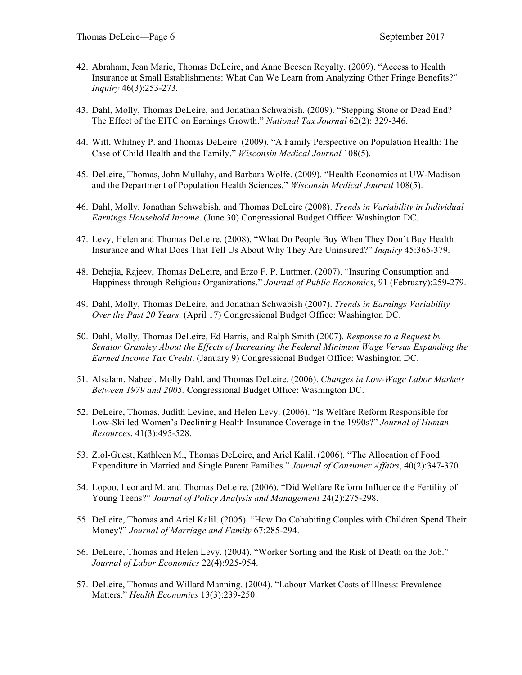- 42. Abraham, Jean Marie, Thomas DeLeire, and Anne Beeson Royalty. (2009). "Access to Health Insurance at Small Establishments: What Can We Learn from Analyzing Other Fringe Benefits?" *Inquiry* 46(3):253-273*.*
- 43. Dahl, Molly, Thomas DeLeire, and Jonathan Schwabish. (2009). "Stepping Stone or Dead End? The Effect of the EITC on Earnings Growth." *National Tax Journal* 62(2): 329-346.
- 44. Witt, Whitney P. and Thomas DeLeire. (2009). "A Family Perspective on Population Health: The Case of Child Health and the Family." *Wisconsin Medical Journal* 108(5).
- 45. DeLeire, Thomas, John Mullahy, and Barbara Wolfe. (2009). "Health Economics at UW-Madison and the Department of Population Health Sciences." *Wisconsin Medical Journal* 108(5).
- 46. Dahl, Molly, Jonathan Schwabish, and Thomas DeLeire (2008). *Trends in Variability in Individual Earnings Household Income*. (June 30) Congressional Budget Office: Washington DC.
- 47. Levy, Helen and Thomas DeLeire. (2008). "What Do People Buy When They Don't Buy Health Insurance and What Does That Tell Us About Why They Are Uninsured?" *Inquiry* 45:365-379.
- 48. Dehejia, Rajeev, Thomas DeLeire, and Erzo F. P. Luttmer. (2007). "Insuring Consumption and Happiness through Religious Organizations." *Journal of Public Economics*, 91 (February):259-279.
- 49. Dahl, Molly, Thomas DeLeire, and Jonathan Schwabish (2007). *Trends in Earnings Variability Over the Past 20 Years*. (April 17) Congressional Budget Office: Washington DC.
- 50. Dahl, Molly, Thomas DeLeire, Ed Harris, and Ralph Smith (2007). *Response to a Request by Senator Grassley About the Effects of Increasing the Federal Minimum Wage Versus Expanding the Earned Income Tax Credit*. (January 9) Congressional Budget Office: Washington DC.
- 51. Alsalam, Nabeel, Molly Dahl, and Thomas DeLeire. (2006). *Changes in Low-Wage Labor Markets Between 1979 and 2005.* Congressional Budget Office: Washington DC.
- 52. DeLeire, Thomas, Judith Levine, and Helen Levy. (2006). "Is Welfare Reform Responsible for Low-Skilled Women's Declining Health Insurance Coverage in the 1990s?" *Journal of Human Resources*, 41(3):495-528.
- 53. Ziol-Guest, Kathleen M., Thomas DeLeire, and Ariel Kalil. (2006). "The Allocation of Food Expenditure in Married and Single Parent Families." *Journal of Consumer Affairs*, 40(2):347-370.
- 54. Lopoo, Leonard M. and Thomas DeLeire. (2006). "Did Welfare Reform Influence the Fertility of Young Teens?" *Journal of Policy Analysis and Management* 24(2):275-298.
- 55. DeLeire, Thomas and Ariel Kalil. (2005). "How Do Cohabiting Couples with Children Spend Their Money?" *Journal of Marriage and Family* 67:285-294.
- 56. DeLeire, Thomas and Helen Levy. (2004). "Worker Sorting and the Risk of Death on the Job." *Journal of Labor Economics* 22(4):925-954.
- 57. DeLeire, Thomas and Willard Manning. (2004). "Labour Market Costs of Illness: Prevalence Matters." *Health Economics* 13(3):239-250.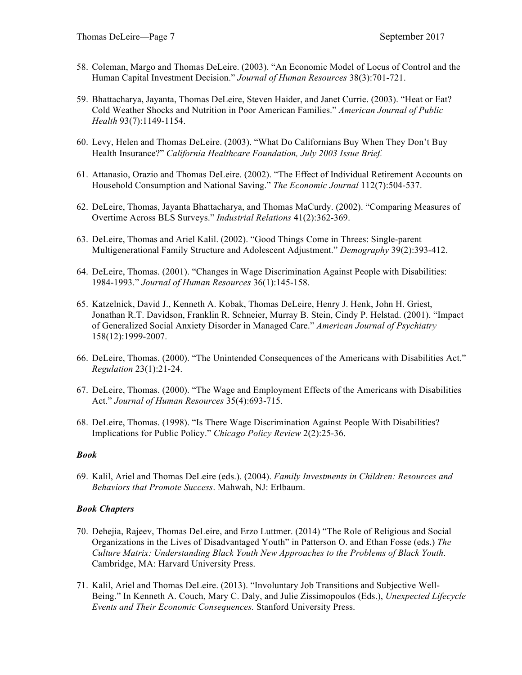- 58. Coleman, Margo and Thomas DeLeire. (2003). "An Economic Model of Locus of Control and the Human Capital Investment Decision." *Journal of Human Resources* 38(3):701-721.
- 59. Bhattacharya, Jayanta, Thomas DeLeire, Steven Haider, and Janet Currie. (2003). "Heat or Eat? Cold Weather Shocks and Nutrition in Poor American Families." *American Journal of Public Health* 93(7):1149-1154.
- 60. Levy, Helen and Thomas DeLeire. (2003). "What Do Californians Buy When They Don't Buy Health Insurance?" *California Healthcare Foundation, July 2003 Issue Brief.*
- 61. Attanasio, Orazio and Thomas DeLeire. (2002). "The Effect of Individual Retirement Accounts on Household Consumption and National Saving." *The Economic Journal* 112(7):504-537.
- 62. DeLeire, Thomas, Jayanta Bhattacharya, and Thomas MaCurdy. (2002). "Comparing Measures of Overtime Across BLS Surveys." *Industrial Relations* 41(2):362-369.
- 63. DeLeire, Thomas and Ariel Kalil. (2002). "Good Things Come in Threes: Single-parent Multigenerational Family Structure and Adolescent Adjustment." *Demography* 39(2):393-412.
- 64. DeLeire, Thomas. (2001). "Changes in Wage Discrimination Against People with Disabilities: 1984-1993." *Journal of Human Resources* 36(1):145-158.
- 65. Katzelnick, David J., Kenneth A. Kobak, Thomas DeLeire, Henry J. Henk, John H. Griest, Jonathan R.T. Davidson, Franklin R. Schneier, Murray B. Stein, Cindy P. Helstad. (2001). "Impact of Generalized Social Anxiety Disorder in Managed Care." *American Journal of Psychiatry*  158(12):1999-2007.
- 66. DeLeire, Thomas. (2000). "The Unintended Consequences of the Americans with Disabilities Act." *Regulation* 23(1):21-24.
- 67. DeLeire, Thomas. (2000). "The Wage and Employment Effects of the Americans with Disabilities Act." *Journal of Human Resources* 35(4):693-715.
- 68. DeLeire, Thomas. (1998). "Is There Wage Discrimination Against People With Disabilities? Implications for Public Policy." *Chicago Policy Review* 2(2):25-36.

## *Book*

69. Kalil, Ariel and Thomas DeLeire (eds.). (2004). *Family Investments in Children: Resources and Behaviors that Promote Success*. Mahwah, NJ: Erlbaum.

## *Book Chapters*

- 70. Dehejia, Rajeev, Thomas DeLeire, and Erzo Luttmer. (2014) "The Role of Religious and Social Organizations in the Lives of Disadvantaged Youth" in Patterson O. and Ethan Fosse (eds.) *The Culture Matrix: Understanding Black Youth New Approaches to the Problems of Black Youth*. Cambridge, MA: Harvard University Press.
- 71. Kalil, Ariel and Thomas DeLeire. (2013). "Involuntary Job Transitions and Subjective Well-Being." In Kenneth A. Couch, Mary C. Daly, and Julie Zissimopoulos (Eds.), *Unexpected Lifecycle Events and Their Economic Consequences.* Stanford University Press.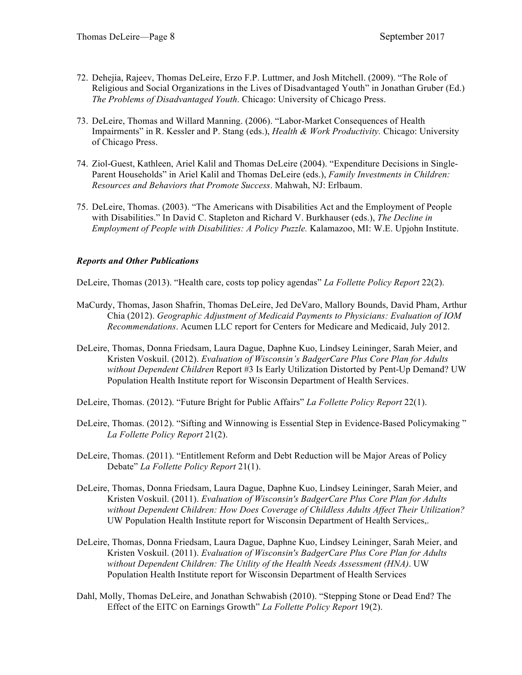- 72. Dehejia, Rajeev, Thomas DeLeire, Erzo F.P. Luttmer, and Josh Mitchell. (2009). "The Role of Religious and Social Organizations in the Lives of Disadvantaged Youth" in Jonathan Gruber (Ed.) *The Problems of Disadvantaged Youth*. Chicago: University of Chicago Press.
- 73. DeLeire, Thomas and Willard Manning. (2006). "Labor-Market Consequences of Health Impairments" in R. Kessler and P. Stang (eds.), *Health & Work Productivity.* Chicago: University of Chicago Press.
- 74. Ziol-Guest, Kathleen, Ariel Kalil and Thomas DeLeire (2004). "Expenditure Decisions in Single-Parent Households" in Ariel Kalil and Thomas DeLeire (eds.), *Family Investments in Children: Resources and Behaviors that Promote Success*. Mahwah, NJ: Erlbaum.
- 75. DeLeire, Thomas. (2003). "The Americans with Disabilities Act and the Employment of People with Disabilities." In David C. Stapleton and Richard V. Burkhauser (eds.), *The Decline in Employment of People with Disabilities: A Policy Puzzle.* Kalamazoo, MI: W.E. Upjohn Institute.

# *Reports and Other Publications*

DeLeire, Thomas (2013). "Health care, costs top policy agendas" *La Follette Policy Report* 22(2).

- MaCurdy, Thomas, Jason Shafrin, Thomas DeLeire, Jed DeVaro, Mallory Bounds, David Pham, Arthur Chia (2012). *Geographic Adjustment of Medicaid Payments to Physicians: Evaluation of IOM Recommendations*. Acumen LLC report for Centers for Medicare and Medicaid, July 2012.
- DeLeire, Thomas, Donna Friedsam, Laura Dague, Daphne Kuo, Lindsey Leininger, Sarah Meier, and Kristen Voskuil. (2012). *Evaluation of Wisconsin's BadgerCare Plus Core Plan for Adults without Dependent Children* Report #3 Is Early Utilization Distorted by Pent-Up Demand? UW Population Health Institute report for Wisconsin Department of Health Services.
- DeLeire, Thomas. (2012). "Future Bright for Public Affairs" *La Follette Policy Report* 22(1).
- DeLeire, Thomas. (2012). "Sifting and Winnowing is Essential Step in Evidence-Based Policymaking " *La Follette Policy Report* 21(2).
- DeLeire, Thomas. (2011). "Entitlement Reform and Debt Reduction will be Major Areas of Policy Debate" *La Follette Policy Report* 21(1).
- DeLeire, Thomas, Donna Friedsam, Laura Dague, Daphne Kuo, Lindsey Leininger, Sarah Meier, and Kristen Voskuil. (2011). *Evaluation of Wisconsin's BadgerCare Plus Core Plan for Adults without Dependent Children: How Does Coverage of Childless Adults Affect Their Utilization?* UW Population Health Institute report for Wisconsin Department of Health Services,.
- DeLeire, Thomas, Donna Friedsam, Laura Dague, Daphne Kuo, Lindsey Leininger, Sarah Meier, and Kristen Voskuil. (2011). *Evaluation of Wisconsin's BadgerCare Plus Core Plan for Adults without Dependent Children: The Utility of the Health Needs Assessment (HNA)*. UW Population Health Institute report for Wisconsin Department of Health Services
- Dahl, Molly, Thomas DeLeire, and Jonathan Schwabish (2010). "Stepping Stone or Dead End? The Effect of the EITC on Earnings Growth" *La Follette Policy Report* 19(2).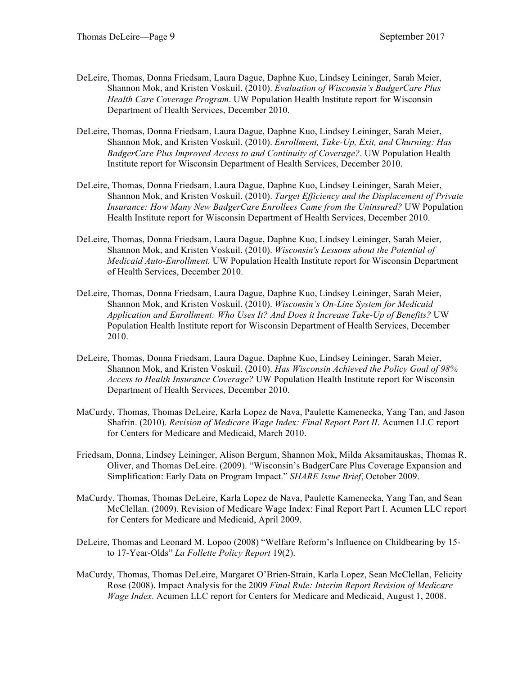- DeLeire, Thomas, Donna Friedsam, Laura Dague, Daphne Kuo, Lindsey Leininger, Sarah Meier, Shannon Mok, and Kristen Voskuil. (2010). *Evaluation of Wisconsin's BadgerCare Plus Health Care Coverage Program*. UW Population Health Institute report for Wisconsin Department of Health Services, December 2010.
- DeLeire, Thomas, Donna Friedsam, Laura Dague, Daphne Kuo, Lindsey Leininger, Sarah Meier, Shannon Mok, and Kristen Voskuil. (2010). *Enrollment, Take-Up, Exit, and Churning: Has BadgerCare Plus Improved Access to and Continuity of Coverage?*. UW Population Health Institute report for Wisconsin Department of Health Services, December 2010.
- DeLeire, Thomas, Donna Friedsam, Laura Dague, Daphne Kuo, Lindsey Leininger, Sarah Meier, Shannon Mok, and Kristen Voskuil. (2010). *Target Efficiency and the Displacement of Private Insurance: How Many New BadgerCare Enrollees Came from the Uninsured?* UW Population Health Institute report for Wisconsin Department of Health Services, December 2010.
- DeLeire, Thomas, Donna Friedsam, Laura Dague, Daphne Kuo, Lindsey Leininger, Sarah Meier, Shannon Mok, and Kristen Voskuil. (2010). *Wisconsin's Lessons about the Potential of Medicaid Auto-Enrollment.* UW Population Health Institute report for Wisconsin Department of Health Services, December 2010.
- DeLeire, Thomas, Donna Friedsam, Laura Dague, Daphne Kuo, Lindsey Leininger, Sarah Meier, Shannon Mok, and Kristen Voskuil. (2010). *Wisconsin's On-Line System for Medicaid Application and Enrollment: Who Uses It? And Does it Increase Take-Up of Benefits?* UW Population Health Institute report for Wisconsin Department of Health Services, December 2010.
- DeLeire, Thomas, Donna Friedsam, Laura Dague, Daphne Kuo, Lindsey Leininger, Sarah Meier, Shannon Mok, and Kristen Voskuil. (2010). *Has Wisconsin Achieved the Policy Goal of 98% Access to Health Insurance Coverage?* UW Population Health Institute report for Wisconsin Department of Health Services, December 2010.
- MaCurdy, Thomas, Thomas DeLeire, Karla Lopez de Nava, Paulette Kamenecka, Yang Tan, and Jason Shafrin. (2010). *Revision of Medicare Wage Index: Final Report Part II*. Acumen LLC report for Centers for Medicare and Medicaid, March 2010.
- Friedsam, Donna, Lindsey Leininger, Alison Bergum, Shannon Mok, Milda Aksamitauskas, Thomas R. Oliver, and Thomas DeLeire. (2009). "Wisconsin's BadgerCare Plus Coverage Expansion and Simplification: Early Data on Program Impact." *SHARE Issue Brief*, October 2009.
- MaCurdy, Thomas, Thomas DeLeire, Karla Lopez de Nava, Paulette Kamenecka, Yang Tan, and Sean McClellan. (2009). Revision of Medicare Wage Index: Final Report Part I. Acumen LLC report for Centers for Medicare and Medicaid, April 2009.
- DeLeire, Thomas and Leonard M. Lopoo (2008) "Welfare Reform's Influence on Childbearing by 15 to 17-Year-Olds" *La Follette Policy Report* 19(2).
- MaCurdy, Thomas, Thomas DeLeire, Margaret O'Brien-Strain, Karla Lopez, Sean McClellan, Felicity Rose (2008). Impact Analysis for the 2009 *Final Rule: Interim Report Revision of Medicare Wage Index*. Acumen LLC report for Centers for Medicare and Medicaid, August 1, 2008.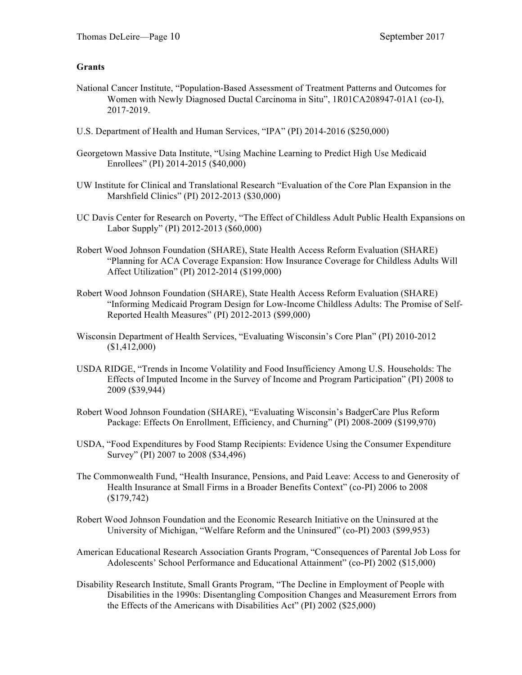## **Grants**

- National Cancer Institute, "Population-Based Assessment of Treatment Patterns and Outcomes for Women with Newly Diagnosed Ductal Carcinoma in Situ", 1R01CA208947-01A1 (co-I), 2017-2019.
- U.S. Department of Health and Human Services, "IPA" (PI) 2014-2016 (\$250,000)
- Georgetown Massive Data Institute, "Using Machine Learning to Predict High Use Medicaid Enrollees" (PI) 2014-2015 (\$40,000)
- UW Institute for Clinical and Translational Research "Evaluation of the Core Plan Expansion in the Marshfield Clinics" (PI) 2012-2013 (\$30,000)
- UC Davis Center for Research on Poverty, "The Effect of Childless Adult Public Health Expansions on Labor Supply" (PI) 2012-2013 (\$60,000)
- Robert Wood Johnson Foundation (SHARE), State Health Access Reform Evaluation (SHARE) "Planning for ACA Coverage Expansion: How Insurance Coverage for Childless Adults Will Affect Utilization" (PI) 2012-2014 (\$199,000)
- Robert Wood Johnson Foundation (SHARE), State Health Access Reform Evaluation (SHARE) "Informing Medicaid Program Design for Low-Income Childless Adults: The Promise of Self-Reported Health Measures" (PI) 2012-2013 (\$99,000)
- Wisconsin Department of Health Services, "Evaluating Wisconsin's Core Plan" (PI) 2010-2012 (\$1,412,000)
- USDA RIDGE, "Trends in Income Volatility and Food Insufficiency Among U.S. Households: The Effects of Imputed Income in the Survey of Income and Program Participation" (PI) 2008 to 2009 (\$39,944)
- Robert Wood Johnson Foundation (SHARE), "Evaluating Wisconsin's BadgerCare Plus Reform Package: Effects On Enrollment, Efficiency, and Churning" (PI) 2008-2009 (\$199,970)
- USDA, "Food Expenditures by Food Stamp Recipients: Evidence Using the Consumer Expenditure Survey" (PI) 2007 to 2008 (\$34,496)
- The Commonwealth Fund, "Health Insurance, Pensions, and Paid Leave: Access to and Generosity of Health Insurance at Small Firms in a Broader Benefits Context" (co-PI) 2006 to 2008 (\$179,742)
- Robert Wood Johnson Foundation and the Economic Research Initiative on the Uninsured at the University of Michigan, "Welfare Reform and the Uninsured" (co-PI) 2003 (\$99,953)
- American Educational Research Association Grants Program, "Consequences of Parental Job Loss for Adolescents' School Performance and Educational Attainment" (co-PI) 2002 (\$15,000)
- Disability Research Institute, Small Grants Program, "The Decline in Employment of People with Disabilities in the 1990s: Disentangling Composition Changes and Measurement Errors from the Effects of the Americans with Disabilities Act" (PI) 2002 (\$25,000)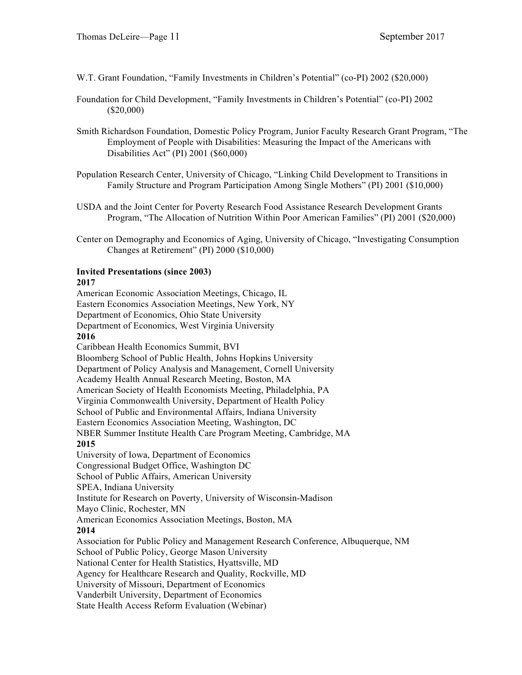W.T. Grant Foundation, "Family Investments in Children's Potential" (co-PI) 2002 (\$20,000)

- Foundation for Child Development, "Family Investments in Children's Potential" (co-PI) 2002 (\$20,000)
- Smith Richardson Foundation, Domestic Policy Program, Junior Faculty Research Grant Program, "The Employment of People with Disabilities: Measuring the Impact of the Americans with Disabilities Act" (PI) 2001 (\$60,000)
- Population Research Center, University of Chicago, "Linking Child Development to Transitions in Family Structure and Program Participation Among Single Mothers" (PI) 2001 (\$10,000)
- USDA and the Joint Center for Poverty Research Food Assistance Research Development Grants Program, "The Allocation of Nutrition Within Poor American Families" (PI) 2001 (\$20,000)
- Center on Demography and Economics of Aging, University of Chicago, "Investigating Consumption Changes at Retirement" (PI) 2000 (\$10,000)

#### **Invited Presentations (since 2003) 2017**

American Economic Association Meetings, Chicago, IL Eastern Economics Association Meetings, New York, NY Department of Economics, Ohio State University Department of Economics, West Virginia University **2016** Caribbean Health Economics Summit, BVI Bloomberg School of Public Health, Johns Hopkins University Department of Policy Analysis and Management, Cornell University Academy Health Annual Research Meeting, Boston, MA American Society of Health Economists Meeting, Philadelphia, PA Virginia Commonwealth University, Department of Health Policy School of Public and Environmental Affairs, Indiana University Eastern Economics Association Meeting, Washington, DC NBER Summer Institute Health Care Program Meeting, Cambridge, MA **2015** University of Iowa, Department of Economics Congressional Budget Office, Washington DC School of Public Affairs, American University SPEA, Indiana University Institute for Research on Poverty, University of Wisconsin-Madison Mayo Clinic, Rochester, MN American Economics Association Meetings, Boston, MA **2014** Association for Public Policy and Management Research Conference, Albuquerque, NM School of Public Policy, George Mason University National Center for Health Statistics, Hyattsville, MD Agency for Healthcare Research and Quality, Rockville, MD University of Missouri, Department of Economics Vanderbilt University, Department of Economics State Health Access Reform Evaluation (Webinar)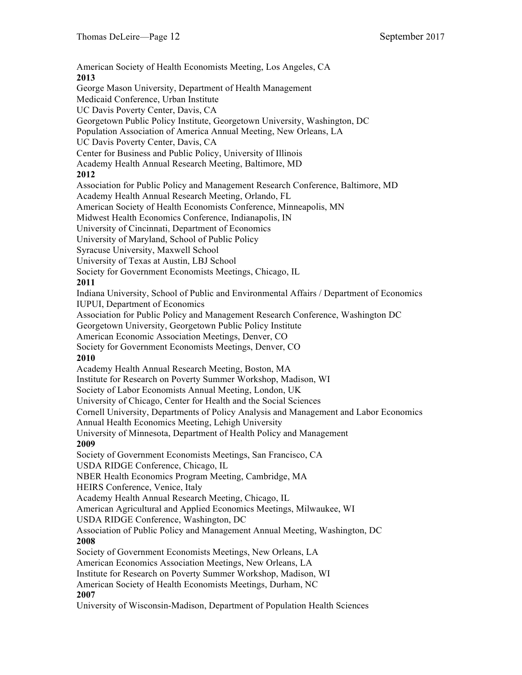American Society of Health Economists Meeting, Los Angeles, CA **2013** George Mason University, Department of Health Management Medicaid Conference, Urban Institute UC Davis Poverty Center, Davis, CA Georgetown Public Policy Institute, Georgetown University, Washington, DC Population Association of America Annual Meeting, New Orleans, LA UC Davis Poverty Center, Davis, CA Center for Business and Public Policy, University of Illinois Academy Health Annual Research Meeting, Baltimore, MD **2012** Association for Public Policy and Management Research Conference, Baltimore, MD Academy Health Annual Research Meeting, Orlando, FL American Society of Health Economists Conference, Minneapolis, MN Midwest Health Economics Conference, Indianapolis, IN University of Cincinnati, Department of Economics University of Maryland, School of Public Policy Syracuse University, Maxwell School University of Texas at Austin, LBJ School Society for Government Economists Meetings, Chicago, IL **2011** Indiana University, School of Public and Environmental Affairs / Department of Economics IUPUI, Department of Economics Association for Public Policy and Management Research Conference, Washington DC Georgetown University, Georgetown Public Policy Institute American Economic Association Meetings, Denver, CO Society for Government Economists Meetings, Denver, CO **2010** Academy Health Annual Research Meeting, Boston, MA Institute for Research on Poverty Summer Workshop, Madison, WI Society of Labor Economists Annual Meeting, London, UK University of Chicago, Center for Health and the Social Sciences Cornell University, Departments of Policy Analysis and Management and Labor Economics Annual Health Economics Meeting, Lehigh University University of Minnesota, Department of Health Policy and Management **2009** Society of Government Economists Meetings, San Francisco, CA USDA RIDGE Conference, Chicago, IL NBER Health Economics Program Meeting, Cambridge, MA HEIRS Conference, Venice, Italy Academy Health Annual Research Meeting, Chicago, IL American Agricultural and Applied Economics Meetings, Milwaukee, WI USDA RIDGE Conference, Washington, DC Association of Public Policy and Management Annual Meeting, Washington, DC **2008** Society of Government Economists Meetings, New Orleans, LA American Economics Association Meetings, New Orleans, LA Institute for Research on Poverty Summer Workshop, Madison, WI American Society of Health Economists Meetings, Durham, NC **2007** University of Wisconsin-Madison, Department of Population Health Sciences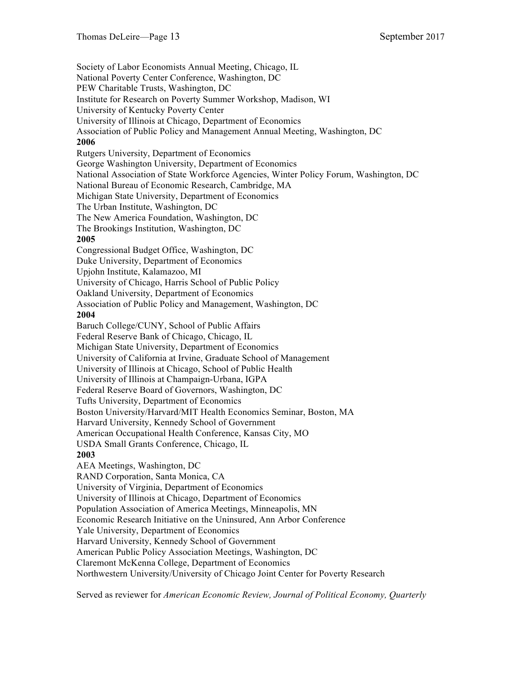Society of Labor Economists Annual Meeting, Chicago, IL National Poverty Center Conference, Washington, DC PEW Charitable Trusts, Washington, DC Institute for Research on Poverty Summer Workshop, Madison, WI University of Kentucky Poverty Center University of Illinois at Chicago, Department of Economics Association of Public Policy and Management Annual Meeting, Washington, DC **2006** Rutgers University, Department of Economics George Washington University, Department of Economics National Association of State Workforce Agencies, Winter Policy Forum, Washington, DC National Bureau of Economic Research, Cambridge, MA Michigan State University, Department of Economics The Urban Institute, Washington, DC The New America Foundation, Washington, DC The Brookings Institution, Washington, DC **2005** Congressional Budget Office, Washington, DC Duke University, Department of Economics Upjohn Institute, Kalamazoo, MI University of Chicago, Harris School of Public Policy Oakland University, Department of Economics Association of Public Policy and Management, Washington, DC **2004** Baruch College/CUNY, School of Public Affairs Federal Reserve Bank of Chicago, Chicago, IL Michigan State University, Department of Economics University of California at Irvine, Graduate School of Management University of Illinois at Chicago, School of Public Health University of Illinois at Champaign-Urbana, IGPA Federal Reserve Board of Governors, Washington, DC Tufts University, Department of Economics Boston University/Harvard/MIT Health Economics Seminar, Boston, MA Harvard University, Kennedy School of Government American Occupational Health Conference, Kansas City, MO USDA Small Grants Conference, Chicago, IL **2003** AEA Meetings, Washington, DC RAND Corporation, Santa Monica, CA University of Virginia, Department of Economics University of Illinois at Chicago, Department of Economics Population Association of America Meetings, Minneapolis, MN Economic Research Initiative on the Uninsured, Ann Arbor Conference Yale University, Department of Economics Harvard University, Kennedy School of Government American Public Policy Association Meetings, Washington, DC Claremont McKenna College, Department of Economics Northwestern University/University of Chicago Joint Center for Poverty Research

Served as reviewer for *American Economic Review, Journal of Political Economy, Quarterly*